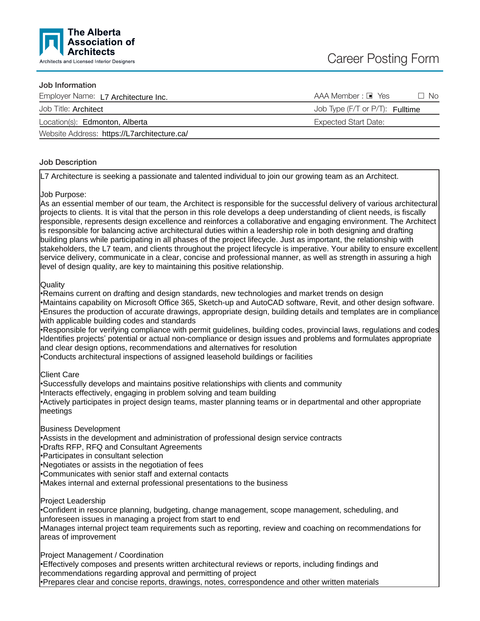

### Job Information

| Employer Name: L7 Architecture Inc.         | $AAA$ Member : $\blacksquare$ Yes<br>No. |
|---------------------------------------------|------------------------------------------|
| Job Title: Architect                        | Job Type (F/T or P/T): Fulltime          |
| Location(s): Edmonton, Alberta              | Expected Start Date:                     |
| Website Address: https://L7architecture.ca/ |                                          |

### Job Description

L7 Architecture is seeking a passionate and talented individual to join our growing team as an Architect.

### Job Purpose:

As an essential member of our team, the Architect is responsible for the successful delivery of various architectural projects to clients. It is vital that the person in this role develops a deep understanding of client needs, is fiscally responsible, represents design excellence and reinforces a collaborative and engaging environment. The Architect is responsible for balancing active architectural duties within a leadership role in both designing and drafting building plans while participating in all phases of the project lifecycle. Just as important, the relationship with stakeholders, the L7 team, and clients throughout the project lifecycle is imperative. Your ability to ensure excellent service delivery, communicate in a clear, concise and professional manner, as well as strength in assuring a high level of design quality, are key to maintaining this positive relationship.

### Quality

•Remains current on drafting and design standards, new technologies and market trends on design •Maintains capability on Microsoft Office 365, Sketch-up and AutoCAD software, Revit, and other design software. •Ensures the production of accurate drawings, appropriate design, building details and templates are in compliance with applicable building codes and standards

•Responsible for verifying compliance with permit guidelines, building codes, provincial laws, regulations and codes •Identifies projects' potential or actual non-compliance or design issues and problems and formulates appropriate and clear design options, recommendations and alternatives for resolution

•Conducts architectural inspections of assigned leasehold buildings or facilities

### Client Care

•Successfully develops and maintains positive relationships with clients and community

•Interacts effectively, engaging in problem solving and team building

•Actively participates in project design teams, master planning teams or in departmental and other appropriate meetings

### Business Development

•Assists in the development and administration of professional design service contracts

•Drafts RFP, RFQ and Consultant Agreements

•Participates in consultant selection

•Negotiates or assists in the negotiation of fees

•Communicates with senior staff and external contacts

•Makes internal and external professional presentations to the business

Project Leadership

•Confident in resource planning, budgeting, change management, scope management, scheduling, and unforeseen issues in managing a project from start to end

•Manages internal project team requirements such as reporting, review and coaching on recommendations for areas of improvement

Project Management / Coordination

•Effectively composes and presents written architectural reviews or reports, including findings and recommendations regarding approval and permitting of project

•Prepares clear and concise reports, drawings, notes, correspondence and other written materials